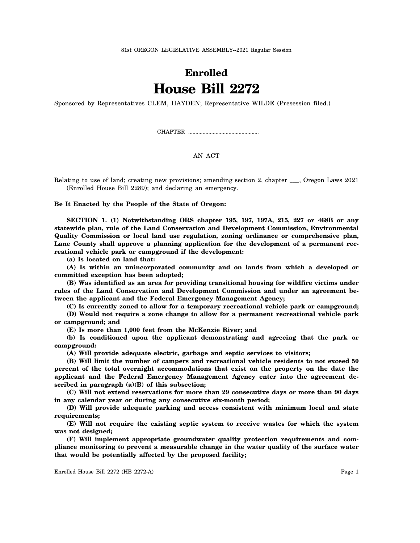81st OREGON LEGISLATIVE ASSEMBLY--2021 Regular Session

## **Enrolled House Bill 2272**

Sponsored by Representatives CLEM, HAYDEN; Representative WILDE (Presession filed.)

CHAPTER .................................................

## AN ACT

Relating to use of land; creating new provisions; amending section 2, chapter \_\_\_, Oregon Laws 2021 (Enrolled House Bill 2289); and declaring an emergency.

**Be It Enacted by the People of the State of Oregon:**

**SECTION 1. (1) Notwithstanding ORS chapter 195, 197, 197A, 215, 227 or 468B or any statewide plan, rule of the Land Conservation and Development Commission, Environmental Quality Commission or local land use regulation, zoning ordinance or comprehensive plan, Lane County shall approve a planning application for the development of a permanent recreational vehicle park or campground if the development:**

**(a) Is located on land that:**

**(A) Is within an unincorporated community and on lands from which a developed or committed exception has been adopted;**

**(B) Was identified as an area for providing transitional housing for wildfire victims under rules of the Land Conservation and Development Commission and under an agreement between the applicant and the Federal Emergency Management Agency;**

**(C) Is currently zoned to allow for a temporary recreational vehicle park or campground;**

**(D) Would not require a zone change to allow for a permanent recreational vehicle park or campground; and**

**(E) Is more than 1,000 feet from the McKenzie River; and**

**(b) Is conditioned upon the applicant demonstrating and agreeing that the park or campground:**

**(A) Will provide adequate electric, garbage and septic services to visitors;**

**(B) Will limit the number of campers and recreational vehicle residents to not exceed 50 percent of the total overnight accommodations that exist on the property on the date the applicant and the Federal Emergency Management Agency enter into the agreement described in paragraph (a)(B) of this subsection;**

**(C) Will not extend reservations for more than 29 consecutive days or more than 90 days in any calendar year or during any consecutive six-month period;**

**(D) Will provide adequate parking and access consistent with minimum local and state requirements;**

**(E) Will not require the existing septic system to receive wastes for which the system was not designed;**

**(F) Will implement appropriate groundwater quality protection requirements and compliance monitoring to prevent a measurable change in the water quality of the surface water that would be potentially affected by the proposed facility;**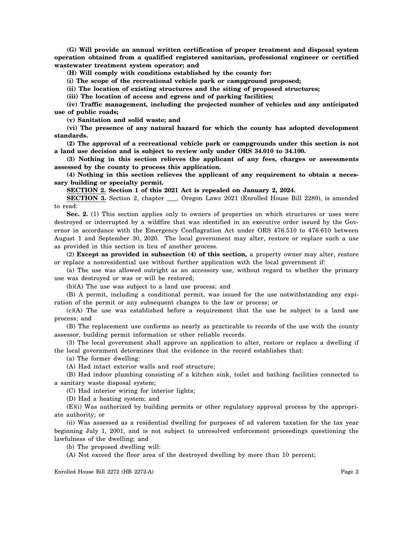**(G) Will provide an annual written certification of proper treatment and disposal system operation obtained from a qualified registered sanitarian, professional engineer or certified wastewater treatment system operator; and**

**(H) Will comply with conditions established by the county for:**

**(i) The scope of the recreational vehicle park or campground proposed;**

**(ii) The location of existing structures and the siting of proposed structures;**

**(iii) The location of access and egress and of parking facilities;**

**(iv) Traffic management, including the projected number of vehicles and any anticipated use of public roads;**

**(v) Sanitation and solid waste; and**

**(vi) The presence of any natural hazard for which the county has adopted development standards.**

**(2) The approval of a recreational vehicle park or campgrounds under this section is not a land use decision and is subject to review only under ORS 34.010 to 34.100.**

**(3) Nothing in this section relieves the applicant of any fees, charges or assessments assessed by the county to process this application.**

**(4) Nothing in this section relieves the applicant of any requirement to obtain a necessary building or specialty permit.**

**SECTION 2. Section 1 of this 2021 Act is repealed on January 2, 2024.**

**SECTION 3.** Section 2, chapter \_\_\_, Oregon Laws 2021 (Enrolled House Bill 2289), is amended to read:

**Sec. 2.** (1) This section applies only to owners of properties on which structures or uses were destroyed or interrupted by a wildfire that was identified in an executive order issued by the Governor in accordance with the Emergency Conflagration Act under ORS 476.510 to 476.610 between August 1 and September 30, 2020. The local government may alter, restore or replace such a use as provided in this section in lieu of another process.

(2) **Except as provided in subsection (4) of this section,** a property owner may alter, restore or replace a nonresidential use without further application with the local government if:

(a) The use was allowed outright as an accessory use, without regard to whether the primary use was destroyed or was or will be restored;

(b)(A) The use was subject to a land use process; and

(B) A permit, including a conditional permit, was issued for the use notwithstanding any expiration of the permit or any subsequent changes to the law or process; or

(c)(A) The use was established before a requirement that the use be subject to a land use process; and

(B) The replacement use conforms as nearly as practicable to records of the use with the county assessor, building permit information or other reliable records.

(3) The local government shall approve an application to alter, restore or replace a dwelling if the local government determines that the evidence in the record establishes that:

(a) The former dwelling:

(A) Had intact exterior walls and roof structure;

(B) Had indoor plumbing consisting of a kitchen sink, toilet and bathing facilities connected to a sanitary waste disposal system;

(C) Had interior wiring for interior lights;

(D) Had a heating system; and

(E)(i) Was authorized by building permits or other regulatory approval process by the appropriate authority; or

(ii) Was assessed as a residential dwelling for purposes of ad valorem taxation for the tax year beginning July 1, 2001, and is not subject to unresolved enforcement proceedings questioning the lawfulness of the dwelling; and

(b) The proposed dwelling will:

(A) Not exceed the floor area of the destroyed dwelling by more than 10 percent;

Enrolled House Bill 2272 (HB 2272-A) Page 2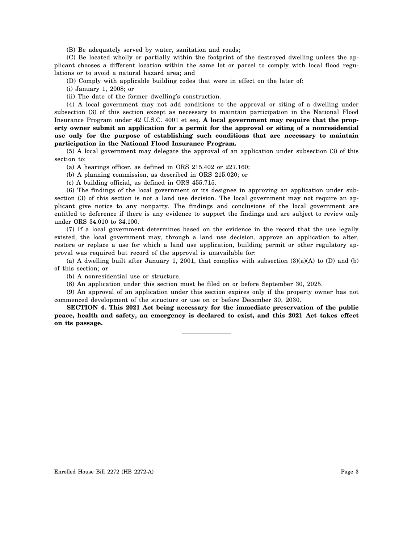(B) Be adequately served by water, sanitation and roads;

(C) Be located wholly or partially within the footprint of the destroyed dwelling unless the applicant chooses a different location within the same lot or parcel to comply with local flood regulations or to avoid a natural hazard area; and

(D) Comply with applicable building codes that were in effect on the later of:

(i) January 1, 2008; or

(ii) The date of the former dwelling's construction.

(4) A local government may not add conditions to the approval or siting of a dwelling under subsection (3) of this section except as necessary to maintain participation in the National Flood Insurance Program under 42 U.S.C. 4001 et seq. **A local government may require that the property owner submit an application for a permit for the approval or siting of a nonresidential use only for the purpose of establishing such conditions that are necessary to maintain participation in the National Flood Insurance Program.**

(5) A local government may delegate the approval of an application under subsection (3) of this section to:

(a) A hearings officer, as defined in ORS 215.402 or 227.160;

(b) A planning commission, as described in ORS 215.020; or

(c) A building official, as defined in ORS 455.715.

(6) The findings of the local government or its designee in approving an application under subsection (3) of this section is not a land use decision. The local government may not require an applicant give notice to any nonparty. The findings and conclusions of the local government are entitled to deference if there is any evidence to support the findings and are subject to review only under ORS 34.010 to 34.100.

(7) If a local government determines based on the evidence in the record that the use legally existed, the local government may, through a land use decision, approve an application to alter, restore or replace a use for which a land use application, building permit or other regulatory approval was required but record of the approval is unavailable for:

(a) A dwelling built after January 1, 2001, that complies with subsection  $(3)(a)(A)$  to  $(D)$  and  $(b)$ of this section; or

(b) A nonresidential use or structure.

(8) An application under this section must be filed on or before September 30, 2025.

(9) An approval of an application under this section expires only if the property owner has not commenced development of the structure or use on or before December 30, 2030.

**SECTION 4. This 2021 Act being necessary for the immediate preservation of the public peace, health and safety, an emergency is declared to exist, and this 2021 Act takes effect on its passage.**